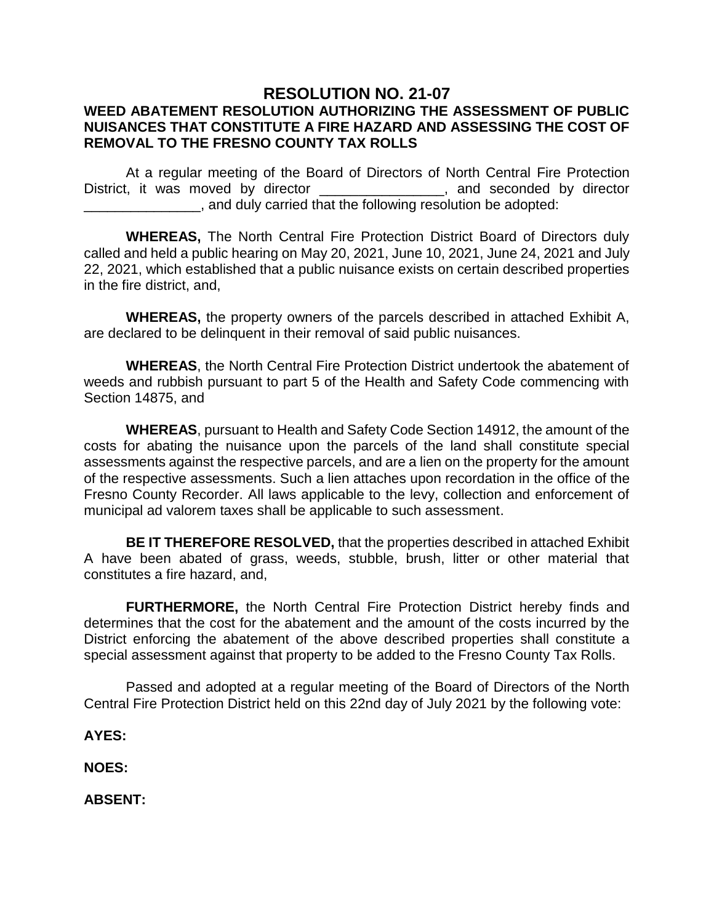## **RESOLUTION NO. 21-07**

## **WEED ABATEMENT RESOLUTION AUTHORIZING THE ASSESSMENT OF PUBLIC NUISANCES THAT CONSTITUTE A FIRE HAZARD AND ASSESSING THE COST OF REMOVAL TO THE FRESNO COUNTY TAX ROLLS**

At a regular meeting of the Board of Directors of North Central Fire Protection District, it was moved by director \_\_\_\_\_\_\_\_\_\_\_\_\_\_\_, and seconded by director \_\_\_\_\_\_\_\_\_\_\_\_\_\_\_, and duly carried that the following resolution be adopted:

**WHEREAS,** The North Central Fire Protection District Board of Directors duly called and held a public hearing on May 20, 2021, June 10, 2021, June 24, 2021 and July 22, 2021, which established that a public nuisance exists on certain described properties in the fire district, and,

**WHEREAS,** the property owners of the parcels described in attached Exhibit A, are declared to be delinquent in their removal of said public nuisances.

**WHEREAS**, the North Central Fire Protection District undertook the abatement of weeds and rubbish pursuant to part 5 of the Health and Safety Code commencing with Section 14875, and

**WHEREAS**, pursuant to Health and Safety Code Section 14912, the amount of the costs for abating the nuisance upon the parcels of the land shall constitute special assessments against the respective parcels, and are a lien on the property for the amount of the respective assessments. Such a lien attaches upon recordation in the office of the Fresno County Recorder. All laws applicable to the levy, collection and enforcement of municipal ad valorem taxes shall be applicable to such assessment.

**BE IT THEREFORE RESOLVED,** that the properties described in attached Exhibit A have been abated of grass, weeds, stubble, brush, litter or other material that constitutes a fire hazard, and,

**FURTHERMORE,** the North Central Fire Protection District hereby finds and determines that the cost for the abatement and the amount of the costs incurred by the District enforcing the abatement of the above described properties shall constitute a special assessment against that property to be added to the Fresno County Tax Rolls.

Passed and adopted at a regular meeting of the Board of Directors of the North Central Fire Protection District held on this 22nd day of July 2021 by the following vote:

**AYES:**

**NOES:**

**ABSENT:**